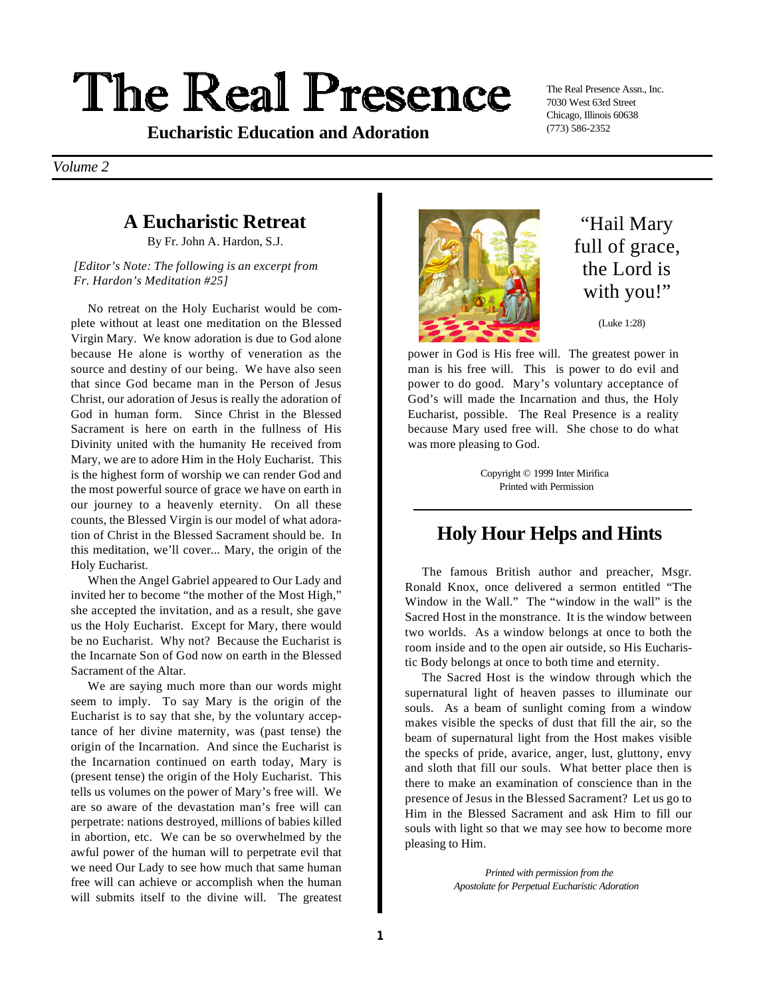# The Real Presence

(773) 586-2352 **Eucharistic Education and Adoration**

The Real Presence Assn., Inc. 7030 West 63rd Street Chicago, Illinois 60638

*Volume 2*

### **A Eucharistic Retreat**

By Fr. John A. Hardon, S.J.

*[Editor's Note: The following is an excerpt from Fr. Hardon's Meditation #25]*

No retreat on the Holy Eucharist would be complete without at least one meditation on the Blessed Virgin Mary. We know adoration is due to God alone because He alone is worthy of veneration as the source and destiny of our being. We have also seen that since God became man in the Person of Jesus Christ, our adoration of Jesus is really the adoration of God in human form. Since Christ in the Blessed Sacrament is here on earth in the fullness of His Divinity united with the humanity He received from Mary, we are to adore Him in the Holy Eucharist. This is the highest form of worship we can render God and the most powerful source of grace we have on earth in our journey to a heavenly eternity. On all these counts, the Blessed Virgin is our model of what adoration of Christ in the Blessed Sacrament should be. In this meditation, we'll cover... Mary, the origin of the Holy Eucharist.

When the Angel Gabriel appeared to Our Lady and invited her to become "the mother of the Most High," she accepted the invitation, and as a result, she gave us the Holy Eucharist. Except for Mary, there would be no Eucharist. Why not? Because the Eucharist is the Incarnate Son of God now on earth in the Blessed Sacrament of the Altar.

We are saying much more than our words might seem to imply. To say Mary is the origin of the Eucharist is to say that she, by the voluntary acceptance of her divine maternity, was (past tense) the origin of the Incarnation. And since the Eucharist is the Incarnation continued on earth today, Mary is (present tense) the origin of the Holy Eucharist. This tells us volumes on the power of Mary's free will. We are so aware of the devastation man's free will can perpetrate: nations destroyed, millions of babies killed in abortion, etc. We can be so overwhelmed by the awful power of the human will to perpetrate evil that we need Our Lady to see how much that same human free will can achieve or accomplish when the human will submits itself to the divine will. The greatest



"Hail Mary full of grace, the Lord is with you!"

(Luke 1:28)

power in God is His free will. The greatest power in man is his free will. This is power to do evil and power to do good. Mary's voluntary acceptance of God's will made the Incarnation and thus, the Holy Eucharist, possible. The Real Presence is a reality because Mary used free will. She chose to do what was more pleasing to God.

> Copyright © 1999 Inter Mirifica Printed with Permission

#### **Holy Hour Helps and Hints**

The famous British author and preacher, Msgr. Ronald Knox, once delivered a sermon entitled "The Window in the Wall." The "window in the wall" is the Sacred Host in the monstrance. It is the window between two worlds. As a window belongs at once to both the room inside and to the open air outside, so His Eucharistic Body belongs at once to both time and eternity.

The Sacred Host is the window through which the supernatural light of heaven passes to illuminate our souls. As a beam of sunlight coming from a window makes visible the specks of dust that fill the air, so the beam of supernatural light from the Host makes visible the specks of pride, avarice, anger, lust, gluttony, envy and sloth that fill our souls. What better place then is there to make an examination of conscience than in the presence of Jesus in the Blessed Sacrament? Let us go to Him in the Blessed Sacrament and ask Him to fill our souls with light so that we may see how to become more pleasing to Him.

> *Printed with permission from the Apostolate for Perpetual Eucharistic Adoration*